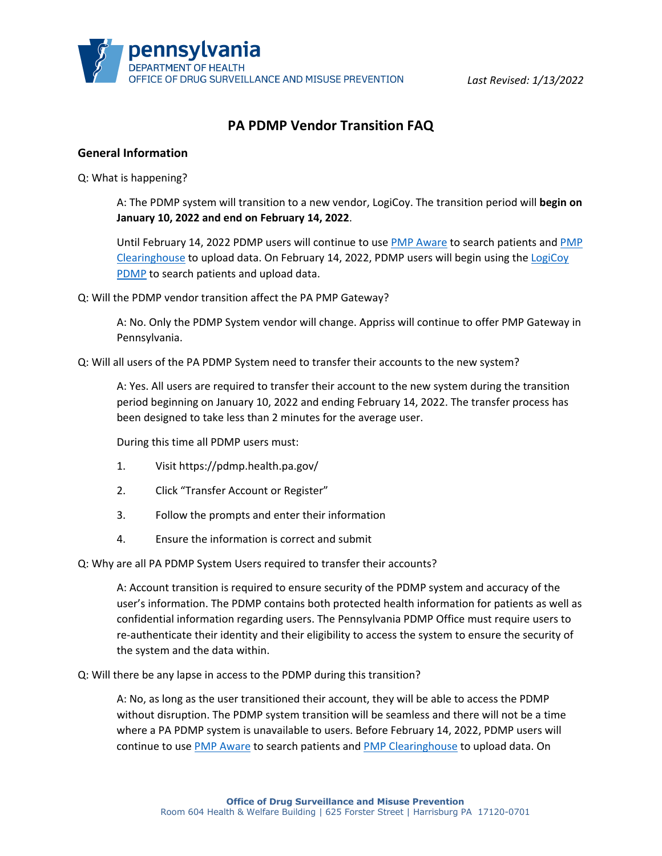# **PA PDMP Vendor Transition FAQ**

### **General Information**

Q: What is happening?

A: The PDMP system will transition to a new vendor, LogiCoy. The transition period will **begin on January 10, 2022 and end on February 14, 2022**.

Until February 14, 2022 PDMP users will continue to use [PMP Aware](https://pennsylvania.pmpaware.net/login) to search patients and [PMP](https://pmpclearinghouse.net/users/sign_in)  [Clearinghouse](https://pmpclearinghouse.net/users/sign_in) to upload data. On February 14, 2022, PDMP users will begin using the [LogiCoy](https://pdmp.health.pa.gov/)  [PDMP](https://pdmp.health.pa.gov/) to search patients and upload data.

Q: Will the PDMP vendor transition affect the PA PMP Gateway?

A: No. Only the PDMP System vendor will change. Appriss will continue to offer PMP Gateway in Pennsylvania.

Q: Will all users of the PA PDMP System need to transfer their accounts to the new system?

A: Yes. All users are required to transfer their account to the new system during the transition period beginning on January 10, 2022 and ending February 14, 2022. The transfer process has been designed to take less than 2 minutes for the average user.

During this time all PDMP users must:

- 1. Visit https://pdmp.health.pa.gov/
- 2. Click "Transfer Account or Register"
- 3. Follow the prompts and enter their information
- 4. Ensure the information is correct and submit

Q: Why are all PA PDMP System Users required to transfer their accounts?

A: Account transition is required to ensure security of the PDMP system and accuracy of the user's information. The PDMP contains both protected health information for patients as well as confidential information regarding users. The Pennsylvania PDMP Office must require users to re-authenticate their identity and their eligibility to access the system to ensure the security of the system and the data within.

Q: Will there be any lapse in access to the PDMP during this transition?

A: No, as long as the user transitioned their account, they will be able to access the PDMP without disruption. The PDMP system transition will be seamless and there will not be a time where a PA PDMP system is unavailable to users. Before February 14, 2022, PDMP users will continue to use [PMP Aware](https://pennsylvania.pmpaware.net/login) to search patients and [PMP Clearinghouse](https://pmpclearinghouse.net/users/sign_in) to upload data. On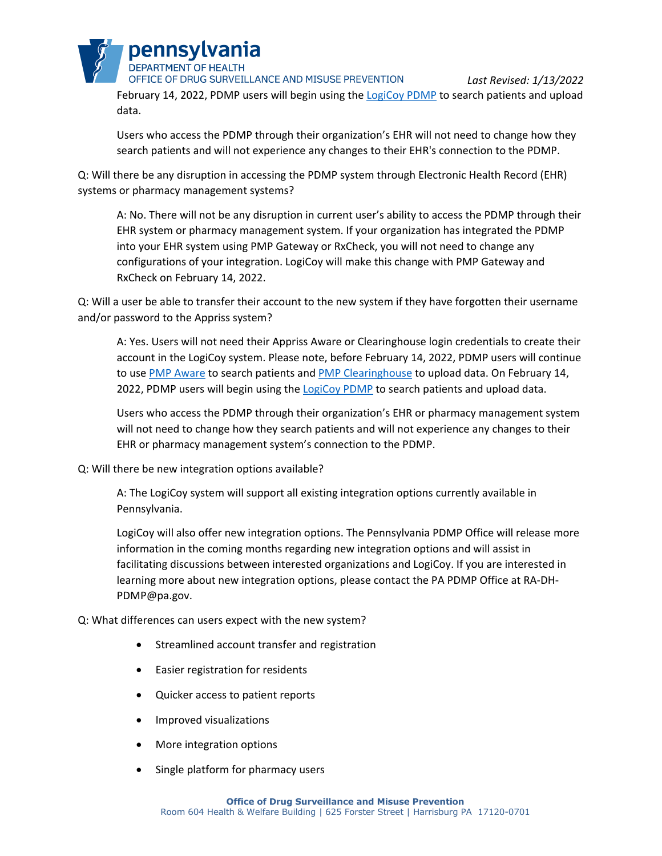

data.

*Last Revised: 1/13/2022* February 14, 2022, PDMP users will begin using the [LogiCoy PDMP](https://pdmp.health.pa.gov/) to search patients and upload

Users who access the PDMP through their organization's EHR will not need to change how they search patients and will not experience any changes to their EHR's connection to the PDMP.

Q: Will there be any disruption in accessing the PDMP system through Electronic Health Record (EHR) systems or pharmacy management systems?

A: No. There will not be any disruption in current user's ability to access the PDMP through their EHR system or pharmacy management system. If your organization has integrated the PDMP into your EHR system using PMP Gateway or RxCheck, you will not need to change any configurations of your integration. LogiCoy will make this change with PMP Gateway and RxCheck on February 14, 2022.

Q: Will a user be able to transfer their account to the new system if they have forgotten their username and/or password to the Appriss system?

A: Yes. Users will not need their Appriss Aware or Clearinghouse login credentials to create their account in the LogiCoy system. Please note, before February 14, 2022, PDMP users will continue to use [PMP Aware](https://pennsylvania.pmpaware.net/login) to search patients an[d PMP Clearinghouse](https://pmpclearinghouse.net/users/sign_in) to upload data. On February 14, 2022, PDMP users will begin using the [LogiCoy PDMP](https://pdmp.health.pa.gov/) to search patients and upload data.

Users who access the PDMP through their organization's EHR or pharmacy management system will not need to change how they search patients and will not experience any changes to their EHR or pharmacy management system's connection to the PDMP.

# Q: Will there be new integration options available?

A: The LogiCoy system will support all existing integration options currently available in Pennsylvania.

LogiCoy will also offer new integration options. The Pennsylvania PDMP Office will release more information in the coming months regarding new integration options and will assist in facilitating discussions between interested organizations and LogiCoy. If you are interested in learning more about new integration options, please contact the PA PDMP Office at RA-DH-PDMP@pa.gov.

# Q: What differences can users expect with the new system?

- Streamlined account transfer and registration
- Easier registration for residents
- Quicker access to patient reports
- Improved visualizations
- More integration options
- Single platform for pharmacy users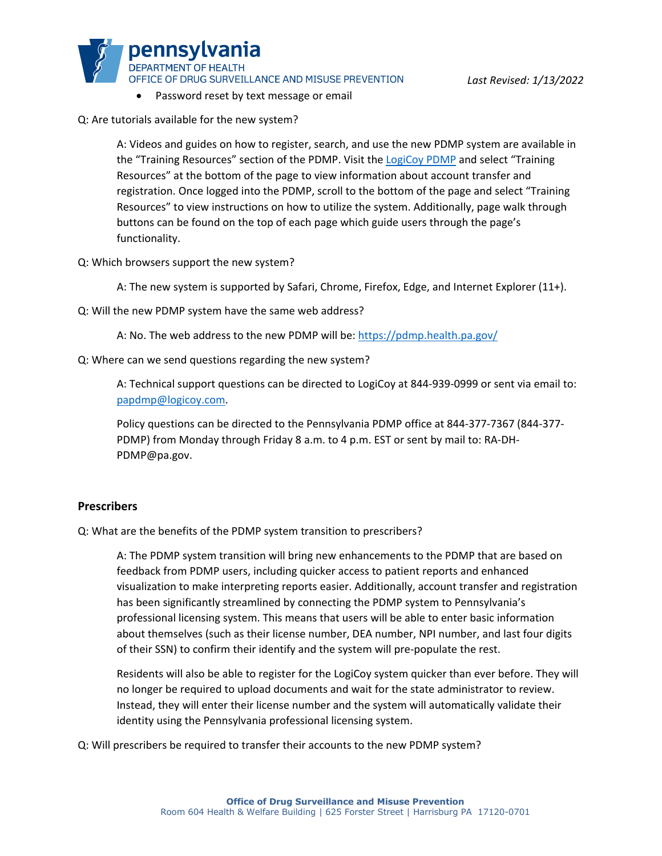OFFICE OF DRUG SURVEILLANCE AND MISUSE PREVENTION

- Password reset by text message or email
- Q: Are tutorials available for the new system?

pennsylvania **DEPARTMENT OF HEALTH** 

A: Videos and guides on how to register, search, and use the new PDMP system are available in the "Training Resources" section of the PDMP. Visit the [LogiCoy PDMP](https://pdmp.health.pa.gov/) and select "Training Resources" at the bottom of the page to view information about account transfer and registration. Once logged into the PDMP, scroll to the bottom of the page and select "Training Resources" to view instructions on how to utilize the system. Additionally, page walk through buttons can be found on the top of each page which guide users through the page's functionality.

Q: Which browsers support the new system?

A: The new system is supported by Safari, Chrome, Firefox, Edge, and Internet Explorer (11+).

- Q: Will the new PDMP system have the same web address?
	- A: No. The web address to the new PDMP will be:<https://pdmp.health.pa.gov/>
- Q: Where can we send questions regarding the new system?

A: Technical support questions can be directed to LogiCoy at 844-939-0999 or sent via email to: [papdmp@logicoy.com.](mailto:papdmp@logicoy.com)

Policy questions can be directed to the Pennsylvania PDMP office at 844-377-7367 (844-377- PDMP) from Monday through Friday 8 a.m. to 4 p.m. EST or sent by mail to: RA-DH-PDMP@pa.gov.

### **Prescribers**

Q: What are the benefits of the PDMP system transition to prescribers?

A: The PDMP system transition will bring new enhancements to the PDMP that are based on feedback from PDMP users, including quicker access to patient reports and enhanced visualization to make interpreting reports easier. Additionally, account transfer and registration has been significantly streamlined by connecting the PDMP system to Pennsylvania's professional licensing system. This means that users will be able to enter basic information about themselves (such as their license number, DEA number, NPI number, and last four digits of their SSN) to confirm their identify and the system will pre-populate the rest.

Residents will also be able to register for the LogiCoy system quicker than ever before. They will no longer be required to upload documents and wait for the state administrator to review. Instead, they will enter their license number and the system will automatically validate their identity using the Pennsylvania professional licensing system.

Q: Will prescribers be required to transfer their accounts to the new PDMP system?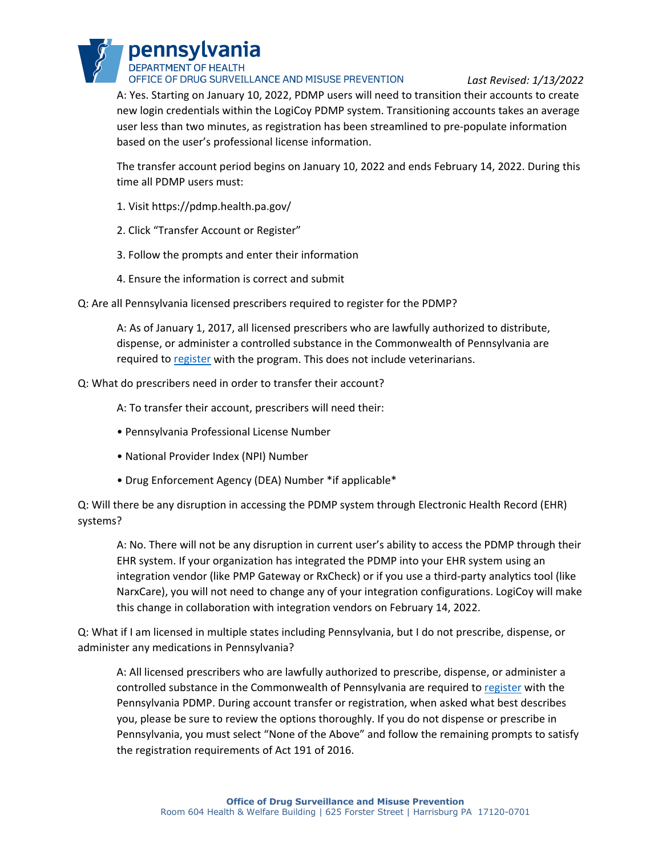pennsylvania **DEPARTMENT OF HEALTH** OFFICE OF DRUG SURVEILLANCE AND MISUSE PREVENTION

*Last Revised: 1/13/2022*

A: Yes. Starting on January 10, 2022, PDMP users will need to transition their accounts to create new login credentials within the LogiCoy PDMP system. Transitioning accounts takes an average user less than two minutes, as registration has been streamlined to pre-populate information based on the user's professional license information.

The transfer account period begins on January 10, 2022 and ends February 14, 2022. During this time all PDMP users must:

- 1. Visit https://pdmp.health.pa.gov/
- 2. Click "Transfer Account or Register"
- 3. Follow the prompts and enter their information
- 4. Ensure the information is correct and submit
- Q: Are all Pennsylvania licensed prescribers required to register for the PDMP?

A: As of January 1, 2017, all licensed prescribers who are lawfully authorized to distribute, dispense, or administer a controlled substance in the Commonwealth of Pennsylvania are required to [register](https://www.health.pa.gov/topics/programs/PDMP/Pages/Register.aspx) with the program. This does not include veterinarians.

Q: What do prescribers need in order to transfer their account?

A: To transfer their account, prescribers will need their:

- Pennsylvania Professional License Number
- National Provider Index (NPI) Number
- Drug Enforcement Agency (DEA) Number \*if applicable\*

Q: Will there be any disruption in accessing the PDMP system through Electronic Health Record (EHR) systems?

A: No. There will not be any disruption in current user's ability to access the PDMP through their EHR system. If your organization has integrated the PDMP into your EHR system using an integration vendor (like PMP Gateway or RxCheck) or if you use a third-party analytics tool (like NarxCare), you will not need to change any of your integration configurations. LogiCoy will make this change in collaboration with integration vendors on February 14, 2022.

Q: What if I am licensed in multiple states including Pennsylvania, but I do not prescribe, dispense, or administer any medications in Pennsylvania?

A: All licensed prescribers who are lawfully authorized to prescribe, dispense, or administer a controlled substance in the Commonwealth of Pennsylvania are required to [register](https://www.health.pa.gov/topics/programs/PDMP/Pages/Register.aspx) with the Pennsylvania PDMP. During account transfer or registration, when asked what best describes you, please be sure to review the options thoroughly. If you do not dispense or prescribe in Pennsylvania, you must select "None of the Above" and follow the remaining prompts to satisfy the registration requirements of Act 191 of 2016.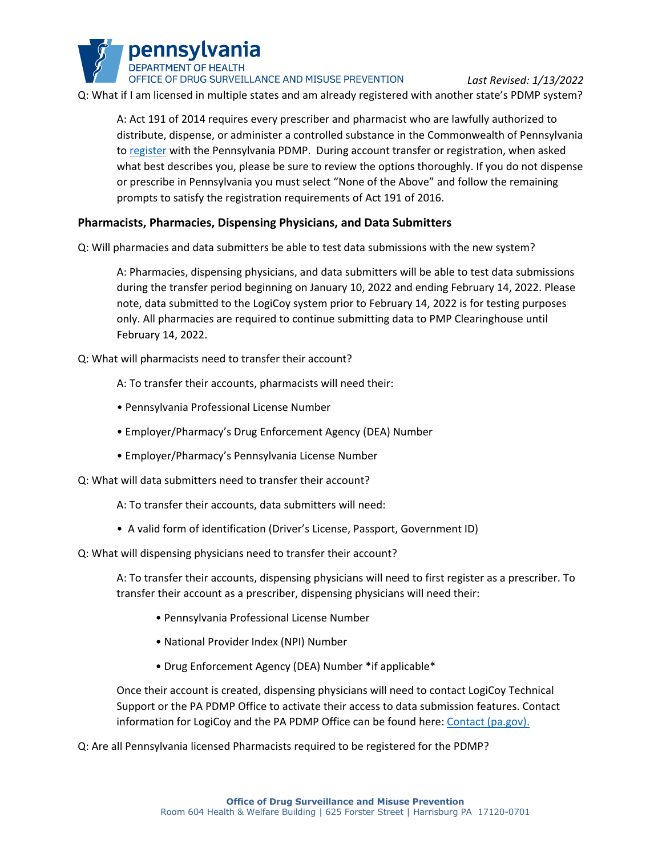**DEPARTMENT OF HEALTH** OFFICE OF DRUG SURVEILLANCE AND MISUSE PREVENTION

pennsylvania

*Last Revised: 1/13/2022* Q: What if I am licensed in multiple states and am already registered with another state's PDMP system?

A: Act 191 of 2014 requires every prescriber and pharmacist who are lawfully authorized to distribute, dispense, or administer a controlled substance in the Commonwealth of Pennsylvania to [register](https://www.health.pa.gov/topics/programs/PDMP/Pages/Register.aspx) with the Pennsylvania PDMP. During account transfer or registration, when asked what best describes you, please be sure to review the options thoroughly. If you do not dispense or prescribe in Pennsylvania you must select "None of the Above" and follow the remaining prompts to satisfy the registration requirements of Act 191 of 2016.

# **Pharmacists, Pharmacies, Dispensing Physicians, and Data Submitters**

Q: Will pharmacies and data submitters be able to test data submissions with the new system?

A: Pharmacies, dispensing physicians, and data submitters will be able to test data submissions during the transfer period beginning on January 10, 2022 and ending February 14, 2022. Please note, data submitted to the LogiCoy system prior to February 14, 2022 is for testing purposes only. All pharmacies are required to continue submitting data to PMP Clearinghouse until February 14, 2022.

Q: What will pharmacists need to transfer their account?

A: To transfer their accounts, pharmacists will need their:

- Pennsylvania Professional License Number
- Employer/Pharmacy's Drug Enforcement Agency (DEA) Number
- Employer/Pharmacy's Pennsylvania License Number

Q: What will data submitters need to transfer their account?

A: To transfer their accounts, data submitters will need:

• A valid form of identification (Driver's License, Passport, Government ID)

Q: What will dispensing physicians need to transfer their account?

A: To transfer their accounts, dispensing physicians will need to first register as a prescriber. To transfer their account as a prescriber, dispensing physicians will need their:

- Pennsylvania Professional License Number
- National Provider Index (NPI) Number
- Drug Enforcement Agency (DEA) Number \*if applicable\*

Once their account is created, dispensing physicians will need to contact LogiCoy Technical Support or the PA PDMP Office to activate their access to data submission features. Contact information for LogiCoy and the PA PDMP Office can be found here[: Contact \(pa.gov\).](https://www.health.pa.gov/topics/programs/PDMP/Pages/Contact.aspx)

Q: Are all Pennsylvania licensed Pharmacists required to be registered for the PDMP?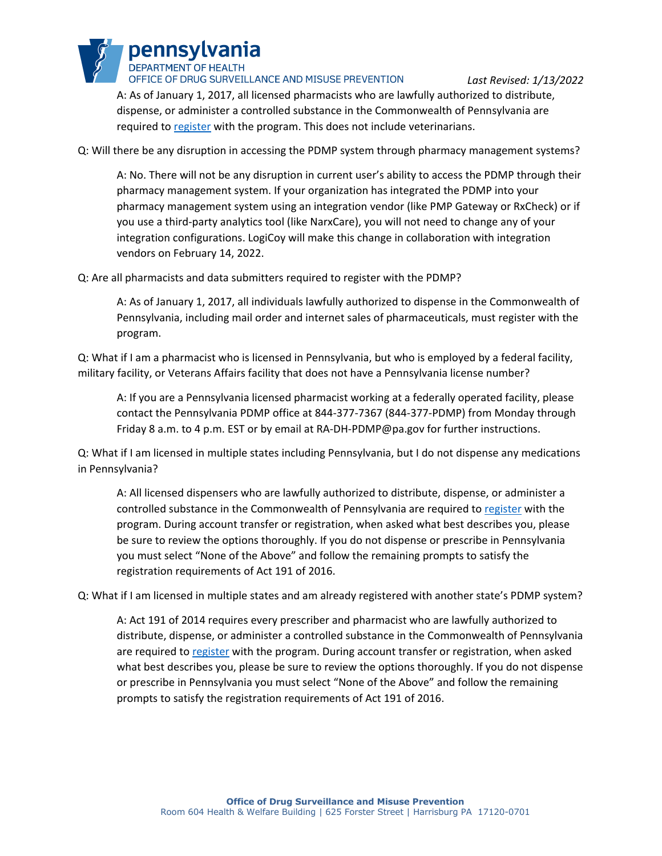pennsylvania **DEPARTMENT OF HEALTH** OFFICE OF DRUG SURVEILLANCE AND MISUSE PREVENTION

*Last Revised: 1/13/2022*

A: As of January 1, 2017, all licensed pharmacists who are lawfully authorized to distribute, dispense, or administer a controlled substance in the Commonwealth of Pennsylvania are required to [register](https://www.health.pa.gov/topics/programs/PDMP/Pages/Register.aspx) with the program. This does not include veterinarians.

Q: Will there be any disruption in accessing the PDMP system through pharmacy management systems?

A: No. There will not be any disruption in current user's ability to access the PDMP through their pharmacy management system. If your organization has integrated the PDMP into your pharmacy management system using an integration vendor (like PMP Gateway or RxCheck) or if you use a third-party analytics tool (like NarxCare), you will not need to change any of your integration configurations. LogiCoy will make this change in collaboration with integration vendors on February 14, 2022.

Q: Are all pharmacists and data submitters required to register with the PDMP?

A: As of January 1, 2017, all individuals lawfully authorized to dispense in the Commonwealth of Pennsylvania, including mail order and internet sales of pharmaceuticals, must register with the program.

Q: What if I am a pharmacist who is licensed in Pennsylvania, but who is employed by a federal facility, military facility, or Veterans Affairs facility that does not have a Pennsylvania license number?

A: If you are a Pennsylvania licensed pharmacist working at a federally operated facility, please contact the Pennsylvania PDMP office at 844-377-7367 (844-377-PDMP) from Monday through Friday 8 a.m. to 4 p.m. EST or by email at [RA-DH-PDMP@pa.gov](mailto:RA-DH-PDMP@pa.gov) for further instructions.

Q: What if I am licensed in multiple states including Pennsylvania, but I do not dispense any medications in Pennsylvania?

A: All licensed dispensers who are lawfully authorized to distribute, dispense, or administer a controlled substance in the Commonwealth of Pennsylvania are required to [register](https://www.health.pa.gov/topics/programs/PDMP/Pages/Register.aspx) with the program. During account transfer or registration, when asked what best describes you, please be sure to review the options thoroughly. If you do not dispense or prescribe in Pennsylvania you must select "None of the Above" and follow the remaining prompts to satisfy the registration requirements of Act 191 of 2016.

Q: What if I am licensed in multiple states and am already registered with another state's PDMP system?

A: Act 191 of 2014 requires every prescriber and pharmacist who are lawfully authorized to distribute, dispense, or administer a controlled substance in the Commonwealth of Pennsylvania are required to [register](https://www.health.pa.gov/topics/programs/PDMP/Pages/Register.aspx) with the program. During account transfer or registration, when asked what best describes you, please be sure to review the options thoroughly. If you do not dispense or prescribe in Pennsylvania you must select "None of the Above" and follow the remaining prompts to satisfy the registration requirements of Act 191 of 2016.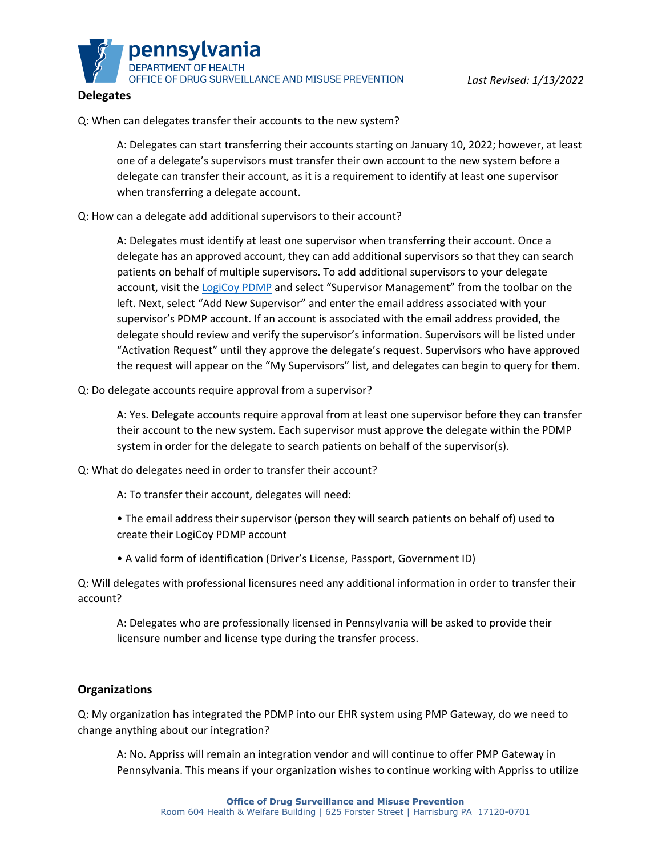

### **Delegates**

Q: When can delegates transfer their accounts to the new system?

A: Delegates can start transferring their accounts starting on January 10, 2022; however, at least one of a delegate's supervisors must transfer their own account to the new system before a delegate can transfer their account, as it is a requirement to identify at least one supervisor when transferring a delegate account.

### Q: How can a delegate add additional supervisors to their account?

A: Delegates must identify at least one supervisor when transferring their account. Once a delegate has an approved account, they can add additional supervisors so that they can search patients on behalf of multiple supervisors. To add additional supervisors to your delegate account, visit the [LogiCoy PDMP](https://pdmp.health.pa.gov/) and select "Supervisor Management" from the toolbar on the left. Next, select "Add New Supervisor" and enter the email address associated with your supervisor's PDMP account. If an account is associated with the email address provided, the delegate should review and verify the supervisor's information. Supervisors will be listed under "Activation Request" until they approve the delegate's request. Supervisors who have approved the request will appear on the "My Supervisors" list, and delegates can begin to query for them.

#### Q: Do delegate accounts require approval from a supervisor?

A: Yes. Delegate accounts require approval from at least one supervisor before they can transfer their account to the new system. Each supervisor must approve the delegate within the PDMP system in order for the delegate to search patients on behalf of the supervisor(s).

Q: What do delegates need in order to transfer their account?

A: To transfer their account, delegates will need:

- The email address their supervisor (person they will search patients on behalf of) used to create their LogiCoy PDMP account
- A valid form of identification (Driver's License, Passport, Government ID)

Q: Will delegates with professional licensures need any additional information in order to transfer their account?

A: Delegates who are professionally licensed in Pennsylvania will be asked to provide their licensure number and license type during the transfer process.

# **Organizations**

Q: My organization has integrated the PDMP into our EHR system using PMP Gateway, do we need to change anything about our integration?

A: No. Appriss will remain an integration vendor and will continue to offer PMP Gateway in Pennsylvania. This means if your organization wishes to continue working with Appriss to utilize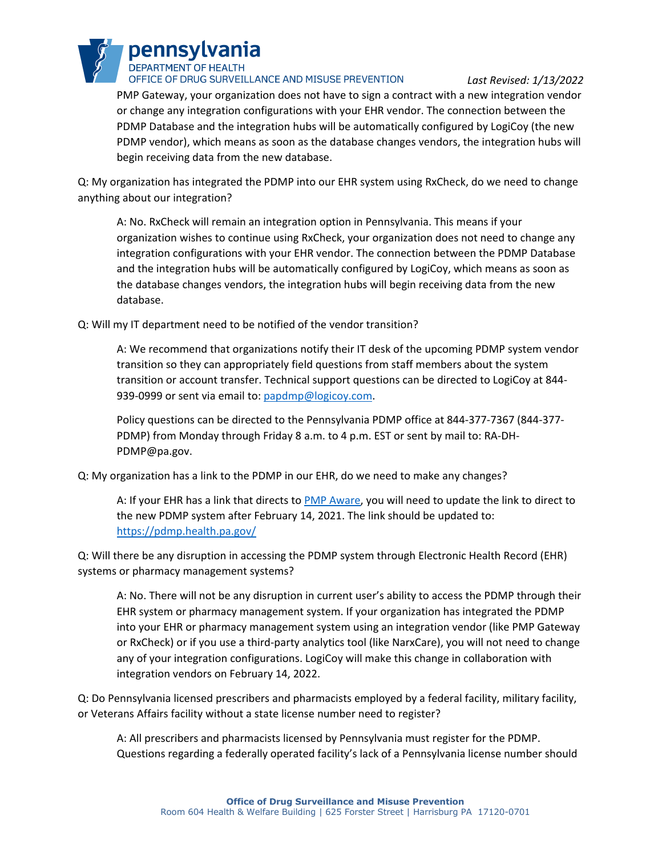

*Last Revised: 1/13/2022*

PMP Gateway, your organization does not have to sign a contract with a new integration vendor or change any integration configurations with your EHR vendor. The connection between the PDMP Database and the integration hubs will be automatically configured by LogiCoy (the new PDMP vendor), which means as soon as the database changes vendors, the integration hubs will begin receiving data from the new database.

Q: My organization has integrated the PDMP into our EHR system using RxCheck, do we need to change anything about our integration?

A: No. RxCheck will remain an integration option in Pennsylvania. This means if your organization wishes to continue using RxCheck, your organization does not need to change any integration configurations with your EHR vendor. The connection between the PDMP Database and the integration hubs will be automatically configured by LogiCoy, which means as soon as the database changes vendors, the integration hubs will begin receiving data from the new database.

Q: Will my IT department need to be notified of the vendor transition?

A: We recommend that organizations notify their IT desk of the upcoming PDMP system vendor transition so they can appropriately field questions from staff members about the system transition or account transfer. Technical support questions can be directed to LogiCoy at 844 939-0999 or sent via email to: [papdmp@logicoy.com.](mailto:papdmp@logicoy.com)

Policy questions can be directed to the Pennsylvania PDMP office at 844-377-7367 (844-377- PDMP) from Monday through Friday 8 a.m. to 4 p.m. EST or sent by mail to: RA-DH-PDMP@pa.gov.

Q: My organization has a link to the PDMP in our EHR, do we need to make any changes?

A: If your EHR has a link that directs to [PMP Aware,](https://pennsylvania.pmpaware.net/login) you will need to update the link to direct to the new PDMP system after February 14, 2021. The link should be updated to: <https://pdmp.health.pa.gov/>

Q: Will there be any disruption in accessing the PDMP system through Electronic Health Record (EHR) systems or pharmacy management systems?

A: No. There will not be any disruption in current user's ability to access the PDMP through their EHR system or pharmacy management system. If your organization has integrated the PDMP into your EHR or pharmacy management system using an integration vendor (like PMP Gateway or RxCheck) or if you use a third-party analytics tool (like NarxCare), you will not need to change any of your integration configurations. LogiCoy will make this change in collaboration with integration vendors on February 14, 2022.

Q: Do Pennsylvania licensed prescribers and pharmacists employed by a federal facility, military facility, or Veterans Affairs facility without a state license number need to register?

A: All prescribers and pharmacists licensed by Pennsylvania must register for the PDMP. Questions regarding a federally operated facility's lack of a Pennsylvania license number should